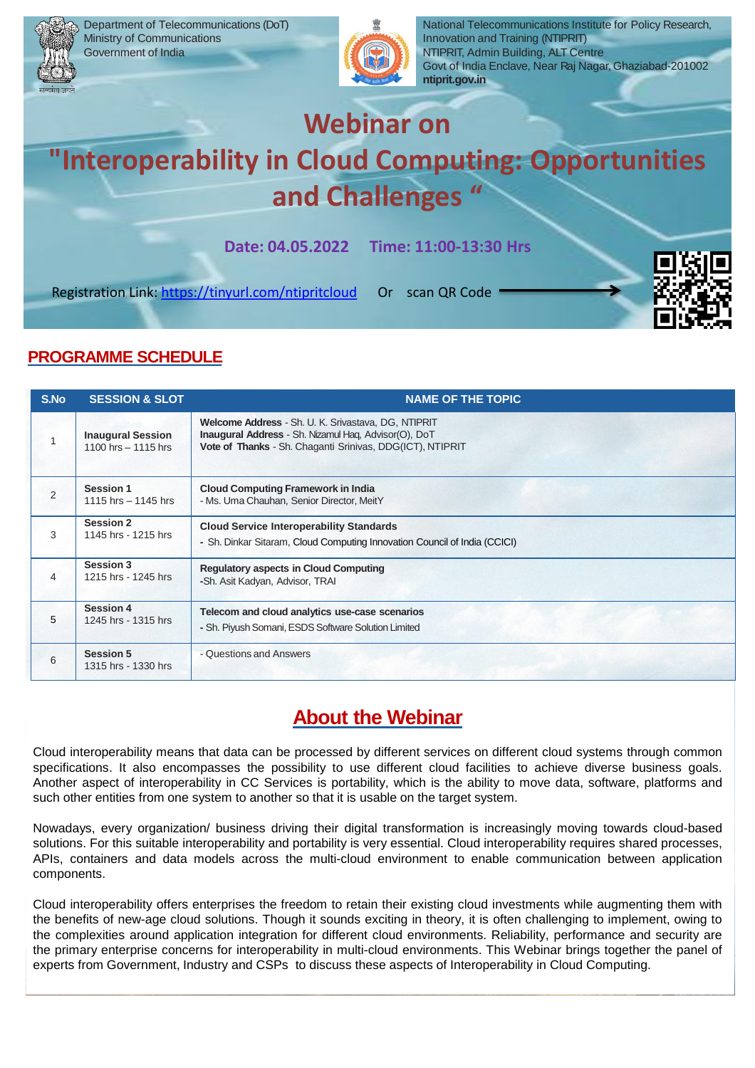



National Telecommunications Institute for Policy Research, Innovation and Training (NTIPRIT) NTIPRIT, Admin Building, ALT Centre Govt of India Enclave, Near Raj Nagar, Ghaziabad-201002 **ntiprit.gov.in**

# **Webinar on**

# **"Interoperability in Cloud Computing: Opportunities and Challenges "**

**Date: 04.05.2022 Time: 11:00-13:30 Hrs**

Registration Link:<https://tinyurl.com/ntipritcloud> Or scan QR Code



## **PROGRAMME SCHEDULE**

| S.No           | <b>SESSION &amp; SLOT</b>                       | <b>NAME OF THE TOPIC</b>                                                                                                                                                 |
|----------------|-------------------------------------------------|--------------------------------------------------------------------------------------------------------------------------------------------------------------------------|
|                | <b>Inaugural Session</b><br>1100 hrs - 1115 hrs | Welcome Address - Sh. U. K. Srivastava, DG, NTIPRIT<br>Inaugural Address - Sh. Nizamul Haq, Advisor(O), DoT<br>Vote of Thanks - Sh. Chaganti Srinivas, DDG(ICT), NTIPRIT |
| $\overline{2}$ | <b>Session 1</b><br>1115 hrs $-$ 1145 hrs       | <b>Cloud Computing Framework in India</b><br>- Ms. Uma Chauhan, Senior Director, MeitY                                                                                   |
| 3              | <b>Session 2</b><br>1145 hrs - 1215 hrs         | <b>Cloud Service Interoperability Standards</b><br>- Sh. Dinkar Sitaram, Cloud Computing Innovation Council of India (CCICI)                                             |
| 4              | Session 3<br>1215 hrs - 1245 hrs                | <b>Regulatory aspects in Cloud Computing</b><br>-Sh. Asit Kadyan, Advisor, TRAI                                                                                          |
| 5              | <b>Session 4</b><br>1245 hrs - 1315 hrs         | Telecom and cloud analytics use-case scenarios<br>- Sh. Piyush Somani, ESDS Software Solution Limited                                                                    |
| 6              | <b>Session 5</b><br>1315 hrs - 1330 hrs         | - Questions and Answers                                                                                                                                                  |

# **About the Webinar**

Cloud interoperability means that data can be processed by different services on different cloud systems through common specifications. It also encompasses the possibility to use different cloud facilities to achieve diverse business goals. Another aspect of interoperability in CC Services is portability, which is the ability to move data, software, platforms and such other entities from one system to another so that it is usable on the target system.

Nowadays, every organization/ business driving their digital transformation is increasingly moving towards cloud-based solutions. For this suitable interoperability and portability is very essential. Cloud interoperability requires shared processes, APIs, containers and data models across the multi-cloud environment to enable communication between application components.

Cloud interoperability offers enterprises the freedom to retain their existing cloud investments while augmenting them with the benefits of new-age cloud solutions. Though it sounds exciting in theory, it is often challenging to implement, owing to the complexities around application integration for different cloud environments. Reliability, performance and security are the primary enterprise concerns for interoperability in multi-cloud environments. This Webinar brings together the panel of experts from Government, Industry and CSPs to discuss these aspects of Interoperability in Cloud Computing.